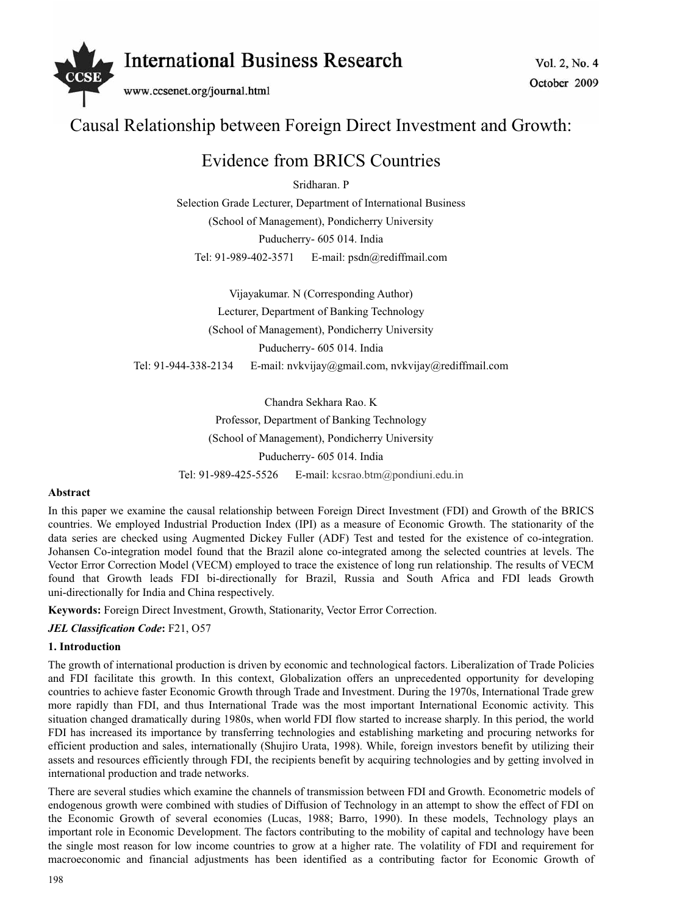

# Causal Relationship between Foreign Direct Investment and Growth:

# Evidence from BRICS Countries

Sridharan. P

Selection Grade Lecturer, Department of International Business (School of Management), Pondicherry University Puducherry- 605 014. India Tel: 91-989-402-3571 E-mail: psdn@rediffmail.com

Vijayakumar. N (Corresponding Author) Lecturer, Department of Banking Technology (School of Management), Pondicherry University Puducherry- 605 014. India Tel: 91-944-338-2134 E-mail: nvkvijay@gmail.com, nvkvijay@rediffmail.com

> Chandra Sekhara Rao. K Professor, Department of Banking Technology (School of Management), Pondicherry University Puducherry- 605 014. India Tel: 91-989-425-5526 E-mail: kcsrao.btm@pondiuni.edu.in

## **Abstract**

In this paper we examine the causal relationship between Foreign Direct Investment (FDI) and Growth of the BRICS countries. We employed Industrial Production Index (IPI) as a measure of Economic Growth. The stationarity of the data series are checked using Augmented Dickey Fuller (ADF) Test and tested for the existence of co-integration. Johansen Co-integration model found that the Brazil alone co-integrated among the selected countries at levels. The Vector Error Correction Model (VECM) employed to trace the existence of long run relationship. The results of VECM found that Growth leads FDI bi-directionally for Brazil, Russia and South Africa and FDI leads Growth uni-directionally for India and China respectively.

**Keywords:** Foreign Direct Investment, Growth, Stationarity, Vector Error Correction.

*JEL Classification Code***:** F21, O57

## **1. Introduction**

The growth of international production is driven by economic and technological factors. Liberalization of Trade Policies and FDI facilitate this growth. In this context, Globalization offers an unprecedented opportunity for developing countries to achieve faster Economic Growth through Trade and Investment. During the 1970s, International Trade grew more rapidly than FDI, and thus International Trade was the most important International Economic activity. This situation changed dramatically during 1980s, when world FDI flow started to increase sharply. In this period, the world FDI has increased its importance by transferring technologies and establishing marketing and procuring networks for efficient production and sales, internationally (Shujiro Urata, 1998). While, foreign investors benefit by utilizing their assets and resources efficiently through FDI, the recipients benefit by acquiring technologies and by getting involved in international production and trade networks.

There are several studies which examine the channels of transmission between FDI and Growth. Econometric models of endogenous growth were combined with studies of Diffusion of Technology in an attempt to show the effect of FDI on the Economic Growth of several economies (Lucas, 1988; Barro, 1990). In these models, Technology plays an important role in Economic Development. The factors contributing to the mobility of capital and technology have been the single most reason for low income countries to grow at a higher rate. The volatility of FDI and requirement for macroeconomic and financial adjustments has been identified as a contributing factor for Economic Growth of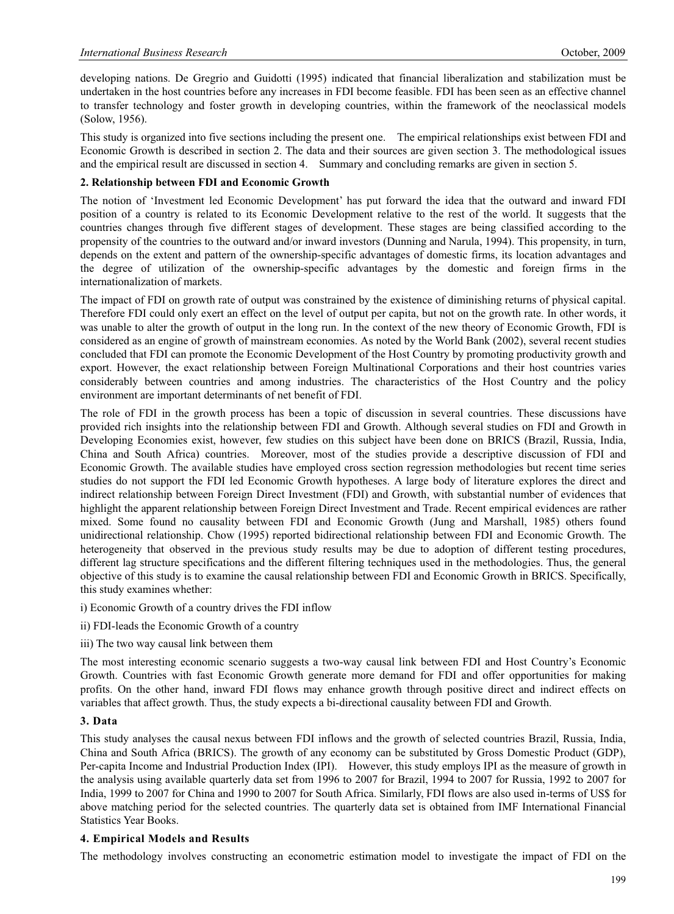developing nations. De Gregrio and Guidotti (1995) indicated that financial liberalization and stabilization must be undertaken in the host countries before any increases in FDI become feasible. FDI has been seen as an effective channel to transfer technology and foster growth in developing countries, within the framework of the neoclassical models (Solow, 1956).

This study is organized into five sections including the present one. The empirical relationships exist between FDI and Economic Growth is described in section 2. The data and their sources are given section 3. The methodological issues and the empirical result are discussed in section 4. Summary and concluding remarks are given in section 5.

## **2. Relationship between FDI and Economic Growth**

The notion of 'Investment led Economic Development' has put forward the idea that the outward and inward FDI position of a country is related to its Economic Development relative to the rest of the world. It suggests that the countries changes through five different stages of development. These stages are being classified according to the propensity of the countries to the outward and/or inward investors (Dunning and Narula, 1994). This propensity, in turn, depends on the extent and pattern of the ownership-specific advantages of domestic firms, its location advantages and the degree of utilization of the ownership-specific advantages by the domestic and foreign firms in the internationalization of markets.

The impact of FDI on growth rate of output was constrained by the existence of diminishing returns of physical capital. Therefore FDI could only exert an effect on the level of output per capita, but not on the growth rate. In other words, it was unable to alter the growth of output in the long run. In the context of the new theory of Economic Growth, FDI is considered as an engine of growth of mainstream economies. As noted by the World Bank (2002), several recent studies concluded that FDI can promote the Economic Development of the Host Country by promoting productivity growth and export. However, the exact relationship between Foreign Multinational Corporations and their host countries varies considerably between countries and among industries. The characteristics of the Host Country and the policy environment are important determinants of net benefit of FDI.

The role of FDI in the growth process has been a topic of discussion in several countries. These discussions have provided rich insights into the relationship between FDI and Growth. Although several studies on FDI and Growth in Developing Economies exist, however, few studies on this subject have been done on BRICS (Brazil, Russia, India, China and South Africa) countries. Moreover, most of the studies provide a descriptive discussion of FDI and Economic Growth. The available studies have employed cross section regression methodologies but recent time series studies do not support the FDI led Economic Growth hypotheses. A large body of literature explores the direct and indirect relationship between Foreign Direct Investment (FDI) and Growth, with substantial number of evidences that highlight the apparent relationship between Foreign Direct Investment and Trade. Recent empirical evidences are rather mixed. Some found no causality between FDI and Economic Growth (Jung and Marshall, 1985) others found unidirectional relationship. Chow (1995) reported bidirectional relationship between FDI and Economic Growth. The heterogeneity that observed in the previous study results may be due to adoption of different testing procedures, different lag structure specifications and the different filtering techniques used in the methodologies. Thus, the general objective of this study is to examine the causal relationship between FDI and Economic Growth in BRICS. Specifically, this study examines whether:

i) Economic Growth of a country drives the FDI inflow

- ii) FDI-leads the Economic Growth of a country
- iii) The two way causal link between them

The most interesting economic scenario suggests a two-way causal link between FDI and Host Country's Economic Growth. Countries with fast Economic Growth generate more demand for FDI and offer opportunities for making profits. On the other hand, inward FDI flows may enhance growth through positive direct and indirect effects on variables that affect growth. Thus, the study expects a bi-directional causality between FDI and Growth.

## **3. Data**

This study analyses the causal nexus between FDI inflows and the growth of selected countries Brazil, Russia, India, China and South Africa (BRICS). The growth of any economy can be substituted by Gross Domestic Product (GDP), Per-capita Income and Industrial Production Index (IPI). However, this study employs IPI as the measure of growth in the analysis using available quarterly data set from 1996 to 2007 for Brazil, 1994 to 2007 for Russia, 1992 to 2007 for India, 1999 to 2007 for China and 1990 to 2007 for South Africa. Similarly, FDI flows are also used in-terms of US\$ for above matching period for the selected countries. The quarterly data set is obtained from IMF International Financial Statistics Year Books.

## **4. Empirical Models and Results**

The methodology involves constructing an econometric estimation model to investigate the impact of FDI on the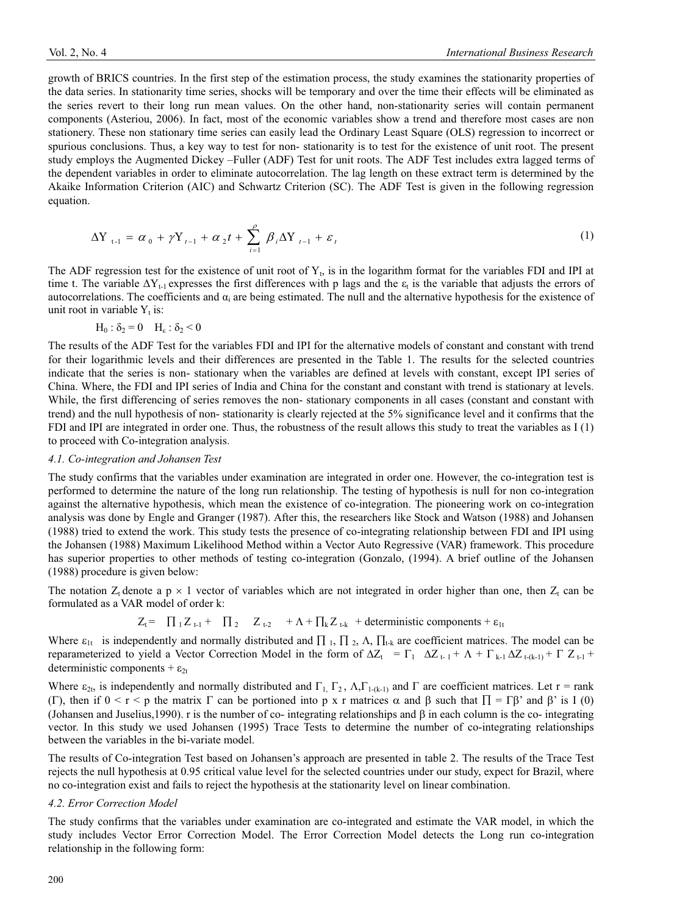growth of BRICS countries. In the first step of the estimation process, the study examines the stationarity properties of the data series. In stationarity time series, shocks will be temporary and over the time their effects will be eliminated as the series revert to their long run mean values. On the other hand, non-stationarity series will contain permanent components (Asteriou, 2006). In fact, most of the economic variables show a trend and therefore most cases are non stationery. These non stationary time series can easily lead the Ordinary Least Square (OLS) regression to incorrect or spurious conclusions. Thus, a key way to test for non- stationarity is to test for the existence of unit root. The present study employs the Augmented Dickey –Fuller (ADF) Test for unit roots. The ADF Test includes extra lagged terms of the dependent variables in order to eliminate autocorrelation. The lag length on these extract term is determined by the Akaike Information Criterion (AIC) and Schwartz Criterion (SC). The ADF Test is given in the following regression equation.

$$
\Delta Y_{t-1} = \alpha_0 + \gamma Y_{t-1} + \alpha_2 t + \sum_{i=1}^{\rho} \beta_i \Delta Y_{t-1} + \varepsilon_t
$$
 (1)

The ADF regression test for the existence of unit root of  $Y_t$ , is in the logarithm format for the variables FDI and IPI at time t. The variable  $\Delta Y_{t-1}$  expresses the first differences with p lags and the  $\varepsilon_t$  is the variable that adjusts the errors of autocorrelations. The coefficients and  $\alpha_i$  are being estimated. The null and the alternative hypothesis for the existence of unit root in variable  $Y_t$  is:

$$
H_0: \delta_2 = 0 \quad H_{\epsilon}: \delta_2 < 0
$$

The results of the ADF Test for the variables FDI and IPI for the alternative models of constant and constant with trend for their logarithmic levels and their differences are presented in the Table 1. The results for the selected countries indicate that the series is non- stationary when the variables are defined at levels with constant, except IPI series of China. Where, the FDI and IPI series of India and China for the constant and constant with trend is stationary at levels. While, the first differencing of series removes the non-stationary components in all cases (constant and constant with trend) and the null hypothesis of non- stationarity is clearly rejected at the 5% significance level and it confirms that the FDI and IPI are integrated in order one. Thus, the robustness of the result allows this study to treat the variables as I (1) to proceed with Co-integration analysis.

#### *4.1. Co-integration and Johansen Test*

The study confirms that the variables under examination are integrated in order one. However, the co-integration test is performed to determine the nature of the long run relationship. The testing of hypothesis is null for non co-integration against the alternative hypothesis, which mean the existence of co-integration. The pioneering work on co-integration analysis was done by Engle and Granger (1987). After this, the researchers like Stock and Watson (1988) and Johansen (1988) tried to extend the work. This study tests the presence of co-integrating relationship between FDI and IPI using the Johansen (1988) Maximum Likelihood Method within a Vector Auto Regressive (VAR) framework. This procedure has superior properties to other methods of testing co-integration (Gonzalo, (1994). A brief outline of the Johansen (1988) procedure is given below:

The notation  $Z_t$  denote a p  $\times$  1 vector of variables which are not integrated in order higher than one, then  $Z_t$  can be formulated as a VAR model of order k:

$$
Z_t = \prod_{1} Z_{t-1} + \prod_{2} Z_{t-2} + \Lambda + \prod_{k} Z_{t-k} + \text{deterministic components} + \varepsilon_{1t}
$$

Where  $\varepsilon_{1t}$  is independently and normally distributed and  $\prod_1$ ,  $\prod_2$ ,  $\Lambda$ ,  $\prod_{t,k}$  are coefficient matrices. The model can be reparameterized to yield a Vector Correction Model in the form of  $\Delta Z_t = \Gamma_1 \Delta Z_{t-1} + \Lambda + \Gamma_{k-1} \Delta Z_{t-(k-1)} + \Gamma Z_{t-1}$ deterministic components +  $\varepsilon_{2t}$ 

Where  $\varepsilon_{2t}$ , is independently and normally distributed and  $\Gamma_1$ ,  $\Gamma_2$ ,  $\Lambda$ ,  $\Gamma_{1-(k-1)}$  and  $\Gamma$  are coefficient matrices. Let  $r = \text{rank}$ ( $\Gamma$ ), then if  $0 \le r \le p$  the matrix  $\Gamma$  can be portioned into p x r matrices  $\alpha$  and  $\beta$  such that  $\prod = \Gamma \beta'$  and  $\beta'$  is I (0) (Johansen and Juselius, 1990). r is the number of co- integrating relationships and  $\beta$  in each column is the co- integrating vector. In this study we used Johansen (1995) Trace Tests to determine the number of co-integrating relationships between the variables in the bi-variate model.

The results of Co-integration Test based on Johansen's approach are presented in table 2. The results of the Trace Test rejects the null hypothesis at 0.95 critical value level for the selected countries under our study, expect for Brazil, where no co-integration exist and fails to reject the hypothesis at the stationarity level on linear combination.

#### *4.2. Error Correction Model*

The study confirms that the variables under examination are co-integrated and estimate the VAR model, in which the study includes Vector Error Correction Model. The Error Correction Model detects the Long run co-integration relationship in the following form: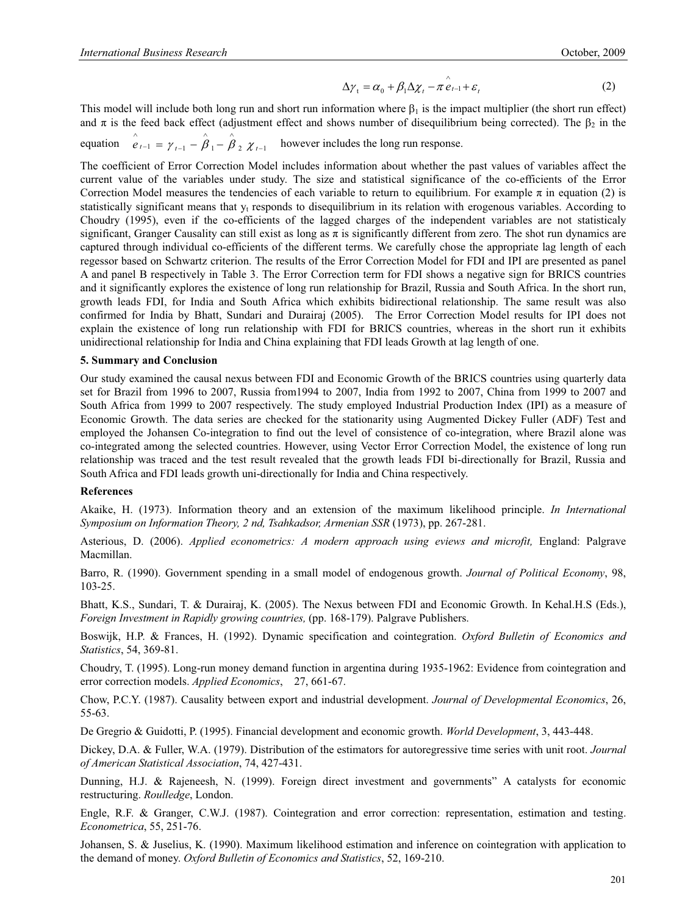$$
\Delta \gamma_t = \alpha_0 + \beta_1 \Delta \chi_t - \pi \stackrel{\wedge}{e}_{t-1} + \varepsilon_t \tag{2}
$$

This model will include both long run and short run information where  $\beta_1$  is the impact multiplier (the short run effect) and  $\pi$  is the feed back effect (adjustment effect and shows number of disequilibrium being corrected). The  $\beta_2$  in the

equation  $\hat{e}_{t-1} = \gamma_{t-1} - \hat{\hat{\beta}}_1 - \hat{\hat{\beta}}_2 \chi_{t-1}$  $-1 = \gamma_{t-1}$  $\hat{e}_{t-1} = \gamma_{t-1} - \hat{\beta}_1 - \hat{\beta}_2 \chi_{t-1}$  however includes the long run response.

The coefficient of Error Correction Model includes information about whether the past values of variables affect the current value of the variables under study. The size and statistical significance of the co-efficients of the Error Correction Model measures the tendencies of each variable to return to equilibrium. For example  $\pi$  in equation (2) is statistically significant means that y<sub>t</sub> responds to disequilibrium in its relation with erogenous variables. According to Choudry (1995), even if the co-efficients of the lagged charges of the independent variables are not statisticaly significant, Granger Causality can still exist as long as  $\pi$  is significantly different from zero. The shot run dynamics are captured through individual co-efficients of the different terms. We carefully chose the appropriate lag length of each regessor based on Schwartz criterion. The results of the Error Correction Model for FDI and IPI are presented as panel A and panel B respectively in Table 3. The Error Correction term for FDI shows a negative sign for BRICS countries and it significantly explores the existence of long run relationship for Brazil, Russia and South Africa. In the short run, growth leads FDI, for India and South Africa which exhibits bidirectional relationship. The same result was also confirmed for India by Bhatt, Sundari and Durairaj (2005). The Error Correction Model results for IPI does not explain the existence of long run relationship with FDI for BRICS countries, whereas in the short run it exhibits unidirectional relationship for India and China explaining that FDI leads Growth at lag length of one.

### **5. Summary and Conclusion**

Our study examined the causal nexus between FDI and Economic Growth of the BRICS countries using quarterly data set for Brazil from 1996 to 2007, Russia from1994 to 2007, India from 1992 to 2007, China from 1999 to 2007 and South Africa from 1999 to 2007 respectively. The study employed Industrial Production Index (IPI) as a measure of Economic Growth. The data series are checked for the stationarity using Augmented Dickey Fuller (ADF) Test and employed the Johansen Co-integration to find out the level of consistence of co-integration, where Brazil alone was co-integrated among the selected countries. However, using Vector Error Correction Model, the existence of long run relationship was traced and the test result revealed that the growth leads FDI bi-directionally for Brazil, Russia and South Africa and FDI leads growth uni-directionally for India and China respectively.

### **References**

Akaike, H. (1973). Information theory and an extension of the maximum likelihood principle. *In International Symposium on Information Theory, 2 nd, Tsahkadsor, Armenian SSR* (1973), pp. 267-281.

Asterious, D. (2006). *Applied econometrics: A modern approach using eviews and microfit,* England: Palgrave Macmillan.

Barro, R. (1990). Government spending in a small model of endogenous growth. *Journal of Political Economy*, 98, 103-25.

Bhatt, K.S., Sundari, T. & Durairaj, K. (2005). The Nexus between FDI and Economic Growth. In Kehal.H.S (Eds.), *Foreign Investment in Rapidly growing countries, (pp. 168-179). Palgrave Publishers.* 

Boswijk, H.P. & Frances, H. (1992). Dynamic specification and cointegration. *Oxford Bulletin of Economics and Statistics*, 54, 369-81.

Choudry, T. (1995). Long-run money demand function in argentina during 1935-1962: Evidence from cointegration and error correction models. *Applied Economics*, 27, 661-67.

Chow, P.C.Y. (1987). Causality between export and industrial development. *Journal of Developmental Economics*, 26, 55-63.

De Gregrio & Guidotti, P. (1995). Financial development and economic growth. *World Development*, 3, 443-448.

Dickey, D.A. & Fuller, W.A. (1979). Distribution of the estimators for autoregressive time series with unit root. *Journal of American Statistical Association*, 74, 427-431.

Dunning, H.J. & Rajeneesh, N. (1999). Foreign direct investment and governments" A catalysts for economic restructuring. *Roulledge*, London.

Engle, R.F. & Granger, C.W.J. (1987). Cointegration and error correction: representation, estimation and testing. *Econometrica*, 55, 251-76.

Johansen, S. & Juselius, K. (1990). Maximum likelihood estimation and inference on cointegration with application to the demand of money. *Oxford Bulletin of Economics and Statistics*, 52, 169-210.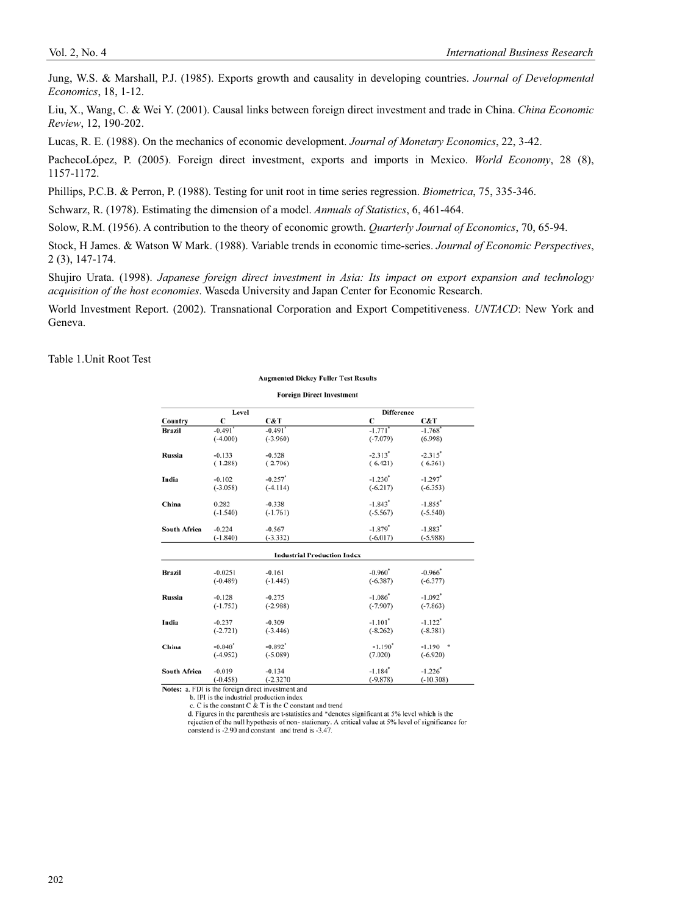Jung, W.S. & Marshall, P.J. (1985). Exports growth and causality in developing countries. *Journal of Developmental Economics*, 18, 1-12.

Liu, X., Wang, C. & Wei Y. (2001). Causal links between foreign direct investment and trade in China. *China Economic Review*, 12, 190-202.

Lucas, R. E. (1988). On the mechanics of economic development. *Journal of Monetary Economics*, 22, 3-42.

PachecoLópez, P. (2005). Foreign direct investment, exports and imports in Mexico. *World Economy*, 28 (8), 1157-1172.

Phillips, P.C.B. & Perron, P. (1988). Testing for unit root in time series regression. *Biometrica*, 75, 335-346.

Schwarz, R. (1978). Estimating the dimension of a model. *Annuals of Statistics*, 6, 461-464.

Solow, R.M. (1956). A contribution to the theory of economic growth. *Quarterly Journal of Economics*, 70, 65-94.

Stock, H James. & Watson W Mark. (1988). Variable trends in economic time-series. *Journal of Economic Perspectives*, 2 (3), 147-174.

Shujiro Urata. (1998). *Japanese foreign direct investment in Asia: Its impact on export expansion and technology acquisition of the host economies*. Waseda University and Japan Center for Economic Research.

World Investment Report. (2002). Transnational Corporation and Export Competitiveness. *UNTACD*: New York and Geneva.

Table 1.Unit Root Test

#### **Augmented Dickey Fuller Test Results**

**Foreign Direct Investment** 

|                     | Level                 |                                    | <b>Difference</b>     |                       |
|---------------------|-----------------------|------------------------------------|-----------------------|-----------------------|
| Country             | C                     | C&T                                | C                     | C&T                   |
| <b>Brazil</b>       | $-0.491$ <sup>*</sup> | $-0.491$ <sup>*</sup>              | $-1.771$ <sup>*</sup> | $-1.768$ <sup>*</sup> |
|                     | $(-4.000)$            | $(-3.960)$                         | $(-7.079)$            | (6.998)               |
| Russia              | $-0.133$              | $-0.528$                           | $-2.313"$             | $-2.315"$             |
|                     | $(-1.288)$            | $(-2.706)$                         | $(-6.421)$            | $(-6.361)$            |
| India               | $-0.102$              | $-0.257$ <sup>*</sup>              | $-1.230$ <sup>*</sup> | $-1.297$ <sup>*</sup> |
|                     | $(-3.058)$            | $(-4.114)$                         | $(-6.217)$            | $(-6.353)$            |
| China               | 0.282                 | $-0.338$                           | $-1.843$ <sup>*</sup> | $-1.855$ <sup>*</sup> |
|                     | $(-1.540)$            | $(-1.761)$                         | $(-5.567)$            | $(-5.540)$            |
| <b>South Africa</b> | $-0.224$              | $-0.567$                           | $-1.879$ <sup>*</sup> | $-1.883$ <sup>*</sup> |
|                     | $(-1.840)$            | $(-3.332)$                         | $(-6.017)$            | $(-5.988)$            |
|                     |                       | <b>Industrial Production Index</b> |                       |                       |
| <b>Brazil</b>       | $-0.0251$             | $-0.161$                           | $-0.960"$             | $-0.966$ <sup>*</sup> |
|                     | $(-0.489)$            | $(-1.445)$                         | $(-6.387)$            | $(-6.377)$            |
| <b>Russia</b>       | $-0.128$              | $-0.275$                           | $-1.086"$             | $-1.092$ <sup>*</sup> |
|                     | $(-1.753)$            | $(-2.988)$                         | $(-7.907)$            | $(-7.863)$            |
| India               | $-0.237$              | $-0.309$                           | $-1.101$ <sup>*</sup> | $-1.122$ <sup>*</sup> |
|                     | $(-2.721)$            | $(-3.446)$                         | $(-8.262)$            | $(-8.381)$            |
| China               | $-0.848"$             | $-0.892$ <sup>*</sup>              | $-1.190$ <sup>*</sup> | $-1.190$<br>金         |
|                     | $(-4.952)$            | $(-5.089)$                         | (7.020)               | $(-6.920)$            |
| <b>South Africa</b> | $-0.019$              | $-0.134$                           | $-1.184$ <sup>*</sup> | $-1.226$              |
|                     | $(-0.458)$            | $(-2.3270$                         | $(-9.878)$            | $(-10.308)$           |

Notes: a. FDI is the foreign direct investment and

b. IPI is the industrial production index

c. C is the constant C & T is the C constant and trend

d. Figures in the parenthesis are t-statistics and \*denotes significant at 5% level which is the rejection of the null hypothesis of non-stationary. A critical value at 5% level of significance for constend is -2.90 and constant and trend is -3.47.